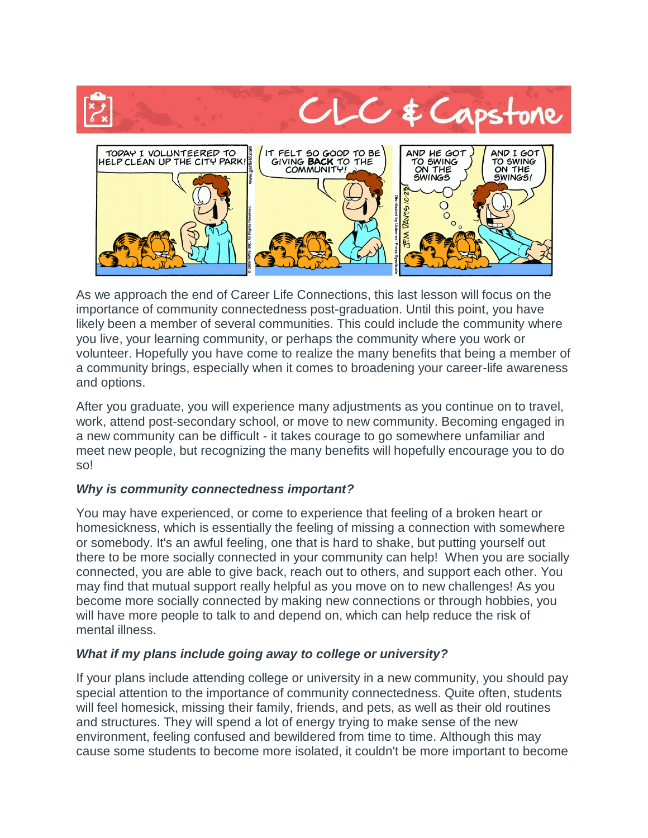

As we approach the end of Career Life Connections, this last lesson will focus on the importance of community connectedness post-graduation. Until this point, you have likely been a member of several communities. This could include the community where you live, your learning community, or perhaps the community where you work or volunteer. Hopefully you have come to realize the many benefits that being a member of a community brings, especially when it comes to broadening your career-life awareness and options.

After you graduate, you will experience many adjustments as you continue on to travel, work, attend post-secondary school, or move to new community. Becoming engaged in a new community can be difficult - it takes courage to go somewhere unfamiliar and meet new people, but recognizing the many benefits will hopefully encourage you to do so!

## *Why is community connectedness important?*

You may have experienced, or come to experience that feeling of a broken heart or homesickness, which is essentially the feeling of missing a connection with somewhere or somebody. It's an awful feeling, one that is hard to shake, but putting yourself out there to be more socially connected in your community can help! When you are socially connected, you are able to give back, reach out to others, and support each other. You may find that mutual support really helpful as you move on to new challenges! As you become more socially connected by making new connections or through hobbies, you will have more people to talk to and depend on, which can help reduce the risk of mental illness.

## *What if my plans include going away to college or university?*

If your plans include attending college or university in a new community, you should pay special attention to the importance of community connectedness. Quite often, students will feel homesick, missing their family, friends, and pets, as well as their old routines and structures. They will spend a lot of energy trying to make sense of the new environment, feeling confused and bewildered from time to time. Although this may cause some students to become more isolated, it couldn't be more important to become